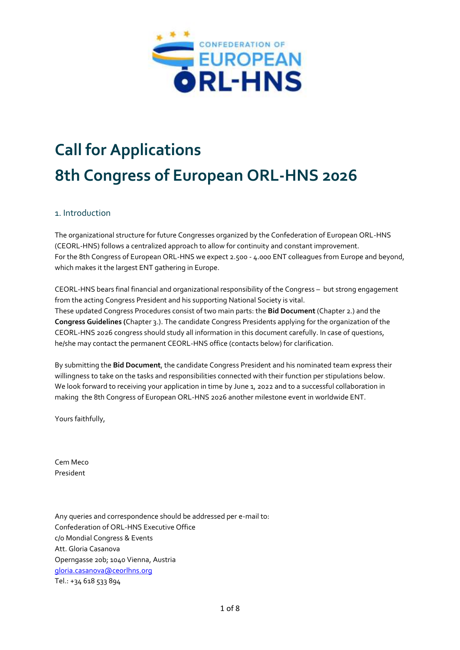

# **Call for Applications 8th Congress of European ORL-HNS 2026**

# 1. Introduction

The organizational structure for future Congresses organized by the Confederation of European ORL-HNS (CEORL-HNS) follows a centralized approach to allow for continuity and constant improvement. For the 8th Congress of European ORL-HNS we expect 2.500 - 4.000 ENT colleagues from Europe and beyond, which makes it the largest ENT gathering in Europe.

CEORL-HNS bears final financial and organizational responsibility of the Congress – but strong engagement from the acting Congress President and his supporting National Society is vital. These updated Congress Procedures consist of two main parts: the **Bid Document** (Chapter 2.) and the **Congress Guidelines (**Chapter 3.). The candidate Congress Presidents applying for the organization of the CEORL-HNS 2026 congress should study all information in this document carefully. In case of questions, he/she may contact the permanent CEORL-HNS office (contacts below) for clarification.

By submitting the **Bid Document**, the candidate Congress President and his nominated team express their willingness to take on the tasks and responsibilities connected with their function per stipulations below. We look forward to receiving your application in time by June 1, 2022 and to a successful collaboration in making the 8th Congress of European ORL-HNS 2026 another milestone event in worldwide ENT.

Yours faithfully,

Cem Meco President

Any queries and correspondence should be addressed per e-mail to: Confederation of ORL-HNS Executive Office c/o Mondial Congress & Events Att. Gloria Casanova Operngasse 20b; 1040 Vienna, Austria [gloria.casanova@ceorlhns.org](mailto:gloria.casanova@ceorlhns.org) Tel.: +34 618 533 894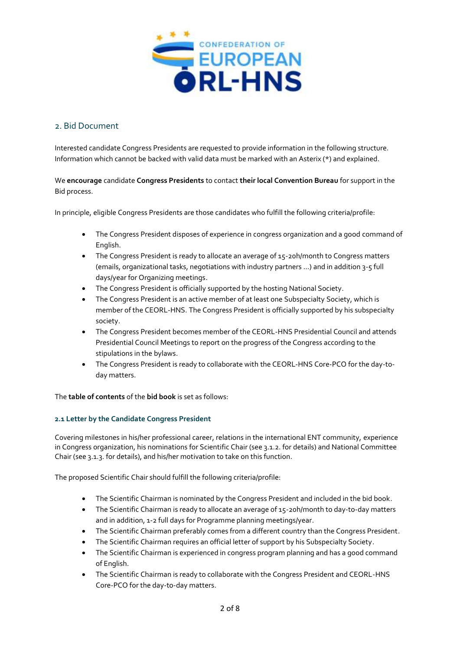

# 2. Bid Document

Interested candidate Congress Presidents are requested to provide information in the following structure. Information which cannot be backed with valid data must be marked with an Asterix (\*) and explained.

# We **encourage** candidate **Congress Presidents** to contact **their local Convention Bureau** for support in the Bid process.

In principle, eligible Congress Presidents are those candidates who fulfill the following criteria/profile:

- The Congress President disposes of experience in congress organization and a good command of English.
- The Congress President is ready to allocate an average of 15-20h/month to Congress matters (emails, organizational tasks, negotiations with industry partners …) and in addition 3-5 full days/year for Organizing meetings.
- The Congress President is officially supported by the hosting National Society.
- The Congress President is an active member of at least one Subspecialty Society, which is member of the CEORL-HNS. The Congress President is officially supported by his subspecialty society.
- The Congress President becomes member of the CEORL-HNS Presidential Council and attends Presidential Council Meetings to report on the progress of the Congress according to the stipulations in the bylaws.
- The Congress President is ready to collaborate with the CEORL-HNS Core-PCO for the day-today matters.

The **table of contents** of the **bid book** is set as follows:

# **2.1 Letter by the Candidate Congress President**

Covering milestones in his/her professional career, relations in the international ENT community, experience in Congress organization, his nominations for Scientific Chair (see 3.1.2. for details) and National Committee Chair (see 3.1.3. for details), and his/her motivation to take on this function.

The proposed Scientific Chair should fulfill the following criteria/profile:

- The Scientific Chairman is nominated by the Congress President and included in the bid book.
- The Scientific Chairman is ready to allocate an average of 15-20h/month to day-to-day matters and in addition, 1-2 full days for Programme planning meetings/year.
- The Scientific Chairman preferably comes from a different country than the Congress President.
- The Scientific Chairman requires an official letter of support by his Subspecialty Society.
- The Scientific Chairman is experienced in congress program planning and has a good command of English.
- The Scientific Chairman is ready to collaborate with the Congress President and CEORL-HNS Core-PCO for the day-to-day matters.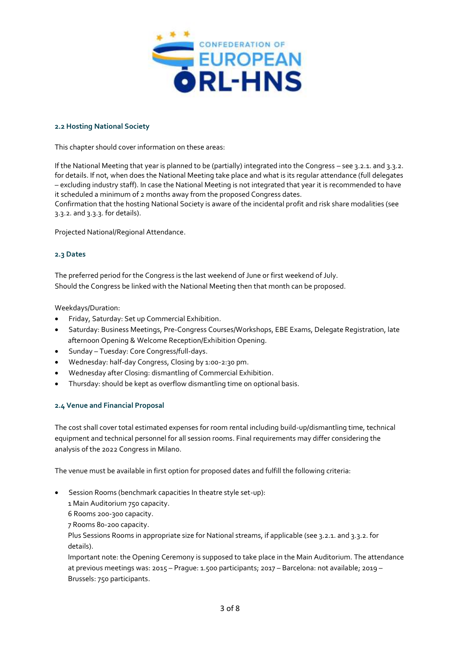

### **2.2 Hosting National Society**

This chapter should cover information on these areas:

If the National Meeting that year is planned to be (partially) integrated into the Congress – see 3.2.1. and 3.3.2. for details. If not, when does the National Meeting take place and what is its regular attendance (full delegates – excluding industry staff). In case the National Meeting is not integrated that year it is recommended to have it scheduled a minimum of 2 months away from the proposed Congress dates.

Confirmation that the hosting National Society is aware of the incidental profit and risk share modalities (see 3.3.2. and 3.3.3. for details).

Projected National/Regional Attendance.

#### **2.3 Dates**

The preferred period for the Congress is the last weekend of June or first weekend of July. Should the Congress be linked with the National Meeting then that month can be proposed.

Weekdays/Duration:

- Friday, Saturday: Set up Commercial Exhibition.
- Saturday: Business Meetings, Pre-Congress Courses/Workshops, EBE Exams, Delegate Registration, late afternoon Opening & Welcome Reception/Exhibition Opening.
- Sunday Tuesday: Core Congress/full-days.
- Wednesday: half-day Congress, Closing by 1:00-2:30 pm.
- Wednesday after Closing: dismantling of Commercial Exhibition.
- Thursday: should be kept as overflow dismantling time on optional basis.

#### **2.4 Venue and Financial Proposal**

The cost shall cover total estimated expenses for room rental including build-up/dismantling time, technical equipment and technical personnel for all session rooms. Final requirements may differ considering the analysis of the 2022 Congress in Milano.

The venue must be available in first option for proposed dates and fulfill the following criteria:

- Session Rooms (benchmark capacities In theatre style set-up):
	- 1 Main Auditorium 750 capacity.
	- 6 Rooms 200-300 capacity.
	- 7 Rooms 80-200 capacity.
	- Plus Sessions Rooms in appropriate size for National streams, if applicable (see 3.2.1. and 3.3.2. for details).

Important note: the Opening Ceremony is supposed to take place in the Main Auditorium. The attendance at previous meetings was: 2015 – Prague: 1.500 participants; 2017 – Barcelona: not available; 2019 – Brussels: 750 participants.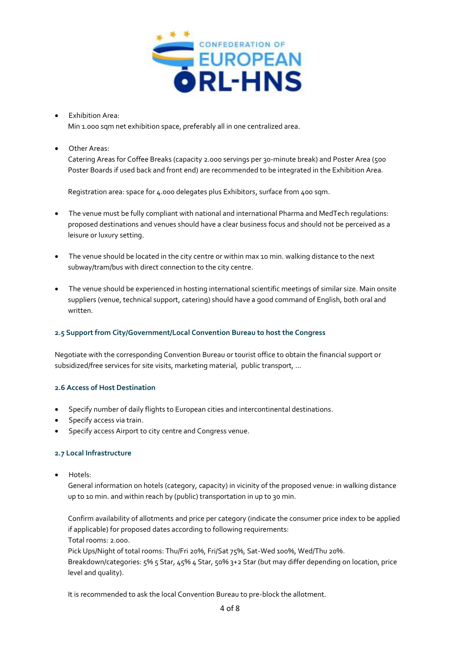

 Exhibition Area: Min 1.000 sqm net exhibition space, preferably all in one centralized area.

Other Areas:

Catering Areas for Coffee Breaks (capacity 2.000 servings per 30-minute break) and Poster Area (500 Poster Boards if used back and front end) are recommended to be integrated in the Exhibition Area.

Registration area: space for 4.000 delegates plus Exhibitors, surface from 400 sqm.

- The venue must be fully compliant with national and international Pharma and MedTech regulations: proposed destinations and venues should have a clear business focus and should not be perceived as a leisure or luxury setting.
- The venue should be located in the city centre or within max 10 min. walking distance to the next subway/tram/bus with direct connection to the city centre.
- The venue should be experienced in hosting international scientific meetings of similar size. Main onsite suppliers (venue, technical support, catering) should have a good command of English, both oral and written.

# **2.5 Support from City/Government/Local Convention Bureau to host the Congress**

Negotiate with the corresponding Convention Bureau or tourist office to obtain the financial support or subsidized/free services for site visits, marketing material, public transport, ...

# **2.6 Access of Host Destination**

- Specify number of daily flights to European cities and intercontinental destinations.
- Specify access via train.
- Specify access Airport to city centre and Congress venue.

# **2.7 Local Infrastructure**

Hotels:

General information on hotels (category, capacity) in vicinity of the proposed venue: in walking distance up to 10 min. and within reach by (public) transportation in up to 30 min.

Confirm availability of allotments and price per category (indicate the consumer price index to be applied if applicable) for proposed dates according to following requirements:

Total rooms: 2.000.

Pick Ups/Night of total rooms: Thu/Fri 20%, Fri/Sat 75%, Sat-Wed 100%, Wed/Thu 20%.

Breakdown/categories: 5% 5 Star, 45% 4 Star, 50% 3+2 Star (but may differ depending on location, price level and quality).

It is recommended to ask the local Convention Bureau to pre-block the allotment.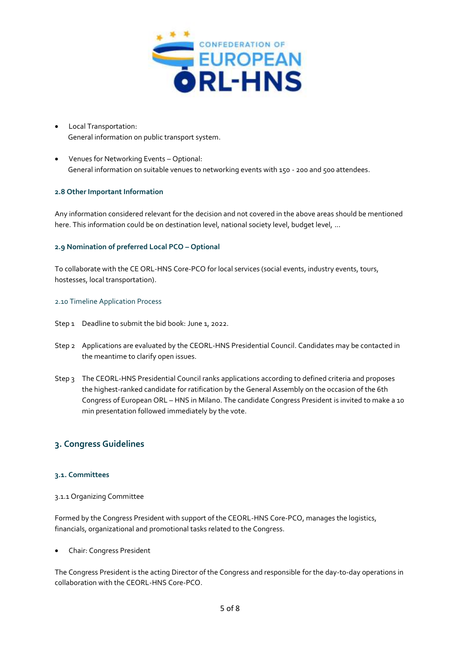

- Local Transportation: General information on public transport system.
- Venues for Networking Events Optional: General information on suitable venues to networking events with 150 - 200 and 500 attendees.

# **2.8 Other Important Information**

Any information considered relevant for the decision and not covered in the above areas should be mentioned here. This information could be on destination level, national society level, budget level, ...

#### **2.9 Nomination of preferred Local PCO – Optional**

To collaborate with the CE ORL-HNS Core-PCO for local services (social events, industry events, tours, hostesses, local transportation).

#### 2.10 Timeline Application Process

- Step 1 Deadline to submit the bid book: June 1, 2022.
- Step 2 Applications are evaluated by the CEORL-HNS Presidential Council. Candidates may be contacted in the meantime to clarify open issues.
- Step 3 The CEORL-HNS Presidential Council ranks applications according to defined criteria and proposes the highest-ranked candidate for ratification by the General Assembly on the occasion of the 6th Congress of European ORL – HNS in Milano. The candidate Congress President is invited to make a 10 min presentation followed immediately by the vote.

# **3. Congress Guidelines**

#### **3.1. Committees**

#### 3.1.1 Organizing Committee

Formed by the Congress President with support of the CEORL-HNS Core-PCO, manages the logistics, financials, organizational and promotional tasks related to the Congress.

#### Chair: Congress President

The Congress President is the acting Director of the Congress and responsible for the day-to-day operations in collaboration with the CEORL-HNS Core-PCO.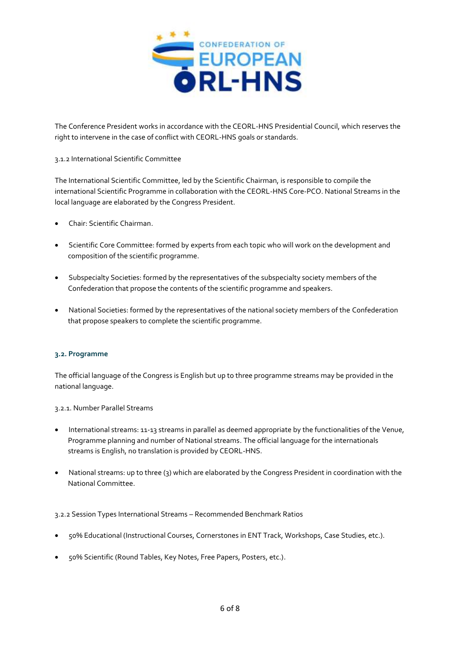

The Conference President works in accordance with the CEORL-HNS Presidential Council, which reserves the right to intervene in the case of conflict with CEORL-HNS goals or standards.

# 3.1.2 International Scientific Committee

The International Scientific Committee, led by the Scientific Chairman, is responsible to compile the international Scientific Programme in collaboration with the CEORL-HNS Core-PCO. National Streams in the local language are elaborated by the Congress President.

- Chair: Scientific Chairman.
- Scientific Core Committee: formed by experts from each topic who will work on the development and composition of the scientific programme.
- Subspecialty Societies: formed by the representatives of the subspecialty society members of the Confederation that propose the contents of the scientific programme and speakers.
- National Societies: formed by the representatives of the national society members of the Confederation that propose speakers to complete the scientific programme.

# **3.2. Programme**

The official language of the Congress is English but up to three programme streams may be provided in the national language.

3.2.1. Number Parallel Streams

- International streams: 11-13 streams in parallel as deemed appropriate by the functionalities of the Venue, Programme planning and number of National streams. The official language for the internationals streams is English, no translation is provided by CEORL-HNS.
- National streams: up to three (3) which are elaborated by the Congress President in coordination with the National Committee.

#### 3.2.2 Session Types International Streams – Recommended Benchmark Ratios

- 50% Educational (Instructional Courses, Cornerstones in ENT Track, Workshops, Case Studies, etc.).
- 50% Scientific (Round Tables, Key Notes, Free Papers, Posters, etc.).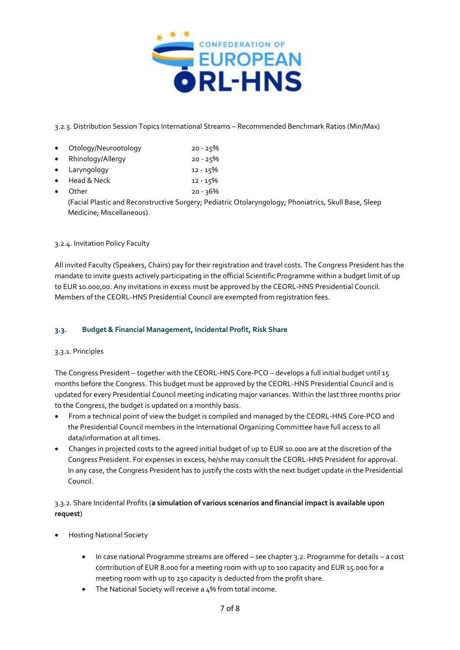

3.2.3. Distribution Session Topics International Streams – Recommended Benchmark Ratios (Min/Max)

- Otology/Neurootology 20 25%
- Rhinology/Allergy 20 25%
- Laryngology 12 15%
- Head & Neck 22 15%
- Other 20 36%

(Facial Plastic and Reconstructive Surgery; Pediatric Otolaryngology; Phoniatrics, Skull Base, Sleep Medicine; Miscellaneous).

# 3.2.4. Invitation Policy Faculty

All invited Faculty (Speakers, Chairs) pay for their registration and travel costs. The Congress President has the mandate to invite guests actively participating in the official Scientific Programme within a budget limit of up to EUR 10.000,00. Any invitations in excess must be approved by the CEORL-HNS Presidential Council. Members of the CEORL-HNS Presidential Council are exempted from registration fees.

# **3.3. Budget & Financial Management, Incidental Profit, Risk Share**

# 3.3.1. Principles

The Congress President – together with the CEORL-HNS Core-PCO – develops a full initial budget until 15 months before the Congress. This budget must be approved by the CEORL-HNS Presidential Council and is updated for every Presidential Council meeting indicating major variances. Within the last three months prior to the Congress, the budget is updated on a monthly basis.

- From a technical point of view the budget is compiled and managed by the CEORL-HNS Core-PCO and the Presidential Council members in the International Organizing Committee have full access to all data/information at all times.
- Changes in projected costs to the agreed initial budget of up to EUR 10.000 are at the discretion of the Congress President. For expenses in excess, he/she may consult the CEORL-HNS President for approval. In any case, the Congress President has to justify the costs with the next budget update in the Presidential Council.

# 3.3.2. Share Incidental Profits (**a simulation of various scenarios and financial impact is available upon request**)

- Hosting National Society
	- In case national Programme streams are offered see chapter 3.2. Programme for details a cost contribution of EUR 8.000 for a meeting room with up to 100 capacity and EUR 15.000 for a meeting room with up to 250 capacity is deducted from the profit share.
	- The National Society will receive a 4% from total income.